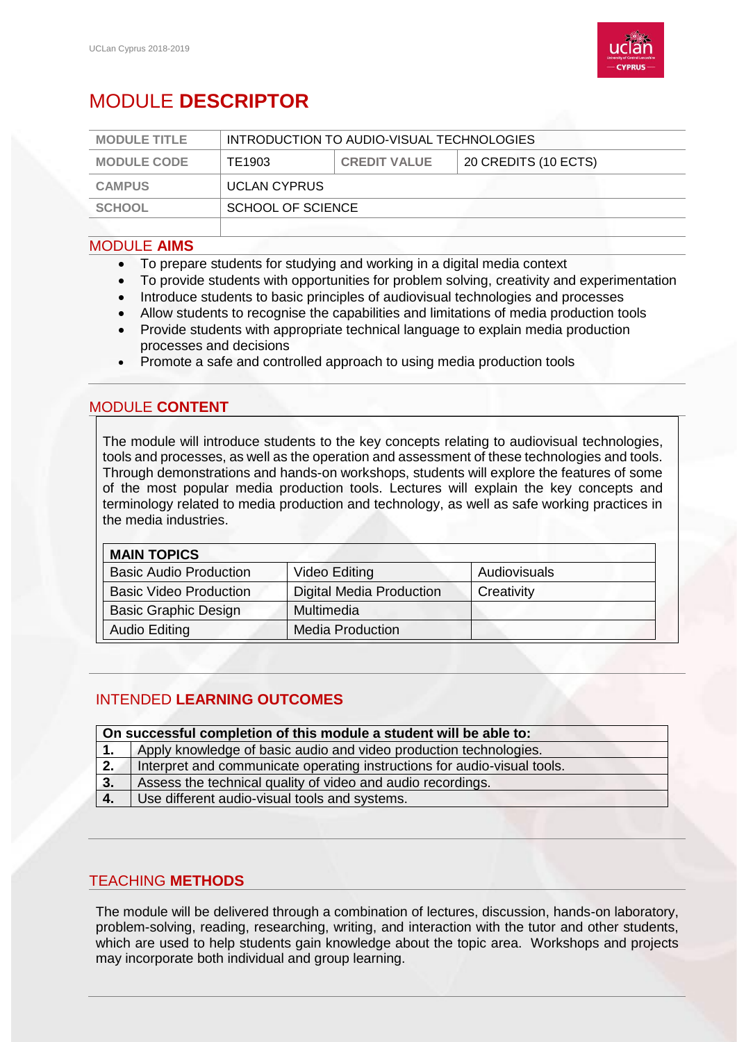

# MODULE **DESCRIPTOR**

| <b>MODULE TITLE</b> | INTRODUCTION TO AUDIO-VISUAL TECHNOLOGIES |                     |                      |
|---------------------|-------------------------------------------|---------------------|----------------------|
| <b>MODULE CODE</b>  | TE1903                                    | <b>CREDIT VALUE</b> | 20 CREDITS (10 ECTS) |
| <b>CAMPUS</b>       | <b>UCLAN CYPRUS</b>                       |                     |                      |
| <b>SCHOOL</b>       | SCHOOL OF SCIENCE                         |                     |                      |
|                     |                                           |                     |                      |

#### MODULE **AIMS**

- To prepare students for studying and working in a digital media context
- To provide students with opportunities for problem solving, creativity and experimentation
- Introduce students to basic principles of audiovisual technologies and processes
- Allow students to recognise the capabilities and limitations of media production tools
- Provide students with appropriate technical language to explain media production processes and decisions
- Promote a safe and controlled approach to using media production tools

# MODULE **CONTENT**

The module will introduce students to the key concepts relating to audiovisual technologies, tools and processes, as well as the operation and assessment of these technologies and tools. Through demonstrations and hands-on workshops, students will explore the features of some of the most popular media production tools. Lectures will explain the key concepts and terminology related to media production and technology, as well as safe working practices in the media industries.

## **MAIN TOPICS**

| 1116111 1 YI 1 YU             |                          |              |
|-------------------------------|--------------------------|--------------|
| <b>Basic Audio Production</b> | Video Editing            | Audiovisuals |
| <b>Basic Video Production</b> | Digital Media Production | Creativity   |
| <b>Basic Graphic Design</b>   | Multimedia               |              |
| <b>Audio Editing</b>          | Media Production         |              |

# INTENDED **LEARNING OUTCOMES**

| On successful completion of this module a student will be able to: |                                                                          |  |
|--------------------------------------------------------------------|--------------------------------------------------------------------------|--|
| $\mathbf{1}$ .                                                     | Apply knowledge of basic audio and video production technologies.        |  |
| 2.                                                                 | Interpret and communicate operating instructions for audio-visual tools. |  |
| 3.                                                                 | Assess the technical quality of video and audio recordings.              |  |
| 4.                                                                 | Use different audio-visual tools and systems.                            |  |

### TEACHING **METHODS**

The module will be delivered through a combination of lectures, discussion, hands-on laboratory, problem-solving, reading, researching, writing, and interaction with the tutor and other students, which are used to help students gain knowledge about the topic area. Workshops and projects may incorporate both individual and group learning.